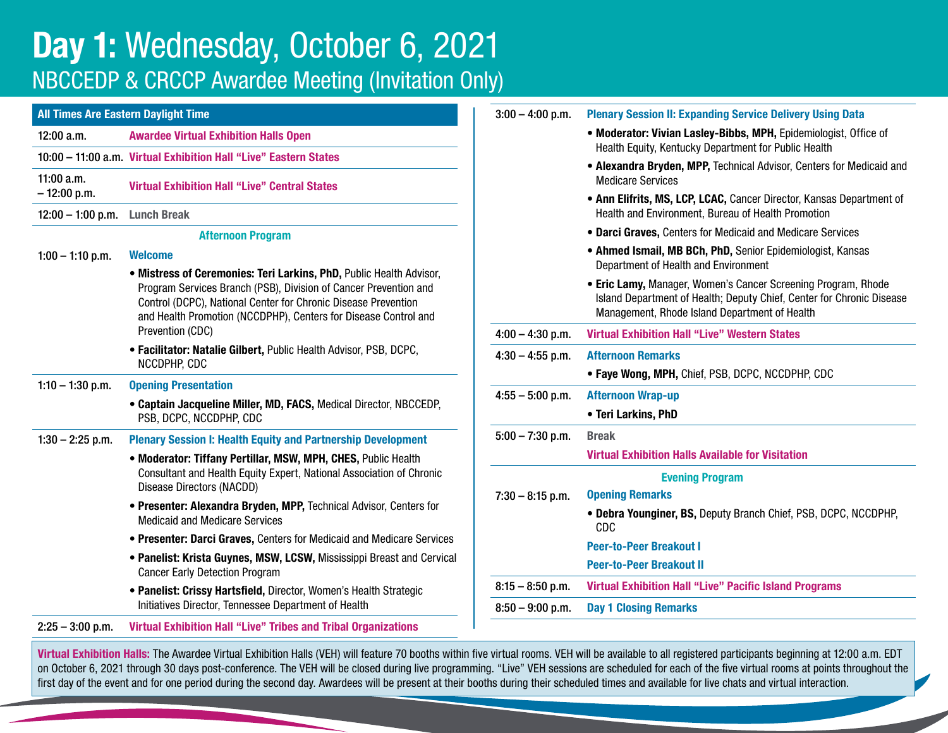## Day 1: Wednesday, October 6, 2021 NBCCEDP & CRCCP Awardee Meeting (Invitation Only)

| <b>All Times Are Eastern Daylight Time</b> |                                                                                                                                                                                                                                                                                                  |  |  |
|--------------------------------------------|--------------------------------------------------------------------------------------------------------------------------------------------------------------------------------------------------------------------------------------------------------------------------------------------------|--|--|
| 12:00 a.m.                                 | <b>Awardee Virtual Exhibition Halls Open</b>                                                                                                                                                                                                                                                     |  |  |
|                                            | 10:00 - 11:00 a.m. Virtual Exhibition Hall "Live" Eastern States                                                                                                                                                                                                                                 |  |  |
| $11:00$ a.m.<br>$-12:00 p.m.$              | <b>Virtual Exhibition Hall "Live" Central States</b>                                                                                                                                                                                                                                             |  |  |
| $12:00 - 1:00$ p.m.                        | <b>Lunch Break</b>                                                                                                                                                                                                                                                                               |  |  |
|                                            | <b>Afternoon Program</b>                                                                                                                                                                                                                                                                         |  |  |
| $1:00 - 1:10$ p.m.                         | <b>Welcome</b>                                                                                                                                                                                                                                                                                   |  |  |
|                                            | . Mistress of Ceremonies: Teri Larkins, PhD, Public Health Advisor,<br>Program Services Branch (PSB), Division of Cancer Prevention and<br>Control (DCPC), National Center for Chronic Disease Prevention<br>and Health Promotion (NCCDPHP), Centers for Disease Control and<br>Prevention (CDC) |  |  |
|                                            | • Facilitator: Natalie Gilbert, Public Health Advisor, PSB, DCPC,<br>NCCDPHP, CDC                                                                                                                                                                                                                |  |  |
| $1:10 - 1:30$ p.m.                         | <b>Opening Presentation</b>                                                                                                                                                                                                                                                                      |  |  |
|                                            | • Captain Jacqueline Miller, MD, FACS, Medical Director, NBCCEDP,<br>PSB, DCPC, NCCDPHP, CDC                                                                                                                                                                                                     |  |  |
| $1:30 - 2:25$ p.m.                         | <b>Plenary Session I: Health Equity and Partnership Development</b>                                                                                                                                                                                                                              |  |  |
|                                            | • Moderator: Tiffany Pertillar, MSW, MPH, CHES, Public Health<br>Consultant and Health Equity Expert, National Association of Chronic<br>Disease Directors (NACDD)                                                                                                                               |  |  |
|                                            | • Presenter: Alexandra Bryden, MPP, Technical Advisor, Centers for<br><b>Medicaid and Medicare Services</b>                                                                                                                                                                                      |  |  |
|                                            | • Presenter: Darci Graves, Centers for Medicaid and Medicare Services                                                                                                                                                                                                                            |  |  |
|                                            | • Panelist: Krista Guynes, MSW, LCSW, Mississippi Breast and Cervical<br><b>Cancer Early Detection Program</b>                                                                                                                                                                                   |  |  |
|                                            | • Panelist: Crissy Hartsfield, Director, Women's Health Strategic<br>Initiatives Director, Tennessee Department of Health                                                                                                                                                                        |  |  |
| $2:25 - 3:00$ p.m.                         | <b>Virtual Exhibition Hall "Live" Tribes and Tribal Organizations</b>                                                                                                                                                                                                                            |  |  |

| $3:00 - 4:00$ p.m. | <b>Plenary Session II: Expanding Service Delivery Using Data</b>                                                                                                                        |
|--------------------|-----------------------------------------------------------------------------------------------------------------------------------------------------------------------------------------|
|                    | • Moderator: Vivian Lasley-Bibbs, MPH, Epidemiologist, Office of<br>Health Equity, Kentucky Department for Public Health                                                                |
|                    | • Alexandra Bryden, MPP, Technical Advisor, Centers for Medicaid and<br><b>Medicare Services</b>                                                                                        |
|                    | • Ann Elifrits, MS, LCP, LCAC, Cancer Director, Kansas Department of<br>Health and Environment, Bureau of Health Promotion                                                              |
|                    | · Darci Graves, Centers for Medicaid and Medicare Services                                                                                                                              |
|                    | • Ahmed Ismail, MB BCh, PhD, Senior Epidemiologist, Kansas<br>Department of Health and Environment                                                                                      |
|                    | • Eric Lamy, Manager, Women's Cancer Screening Program, Rhode<br>Island Department of Health; Deputy Chief, Center for Chronic Disease<br>Management, Rhode Island Department of Health |
| $4:00 - 4:30$ p.m. | <b>Virtual Exhibition Hall "Live" Western States</b>                                                                                                                                    |
| $4:30 - 4:55$ p.m. | <b>Afternoon Remarks</b>                                                                                                                                                                |
|                    | • Faye Wong, MPH, Chief, PSB, DCPC, NCCDPHP, CDC                                                                                                                                        |
| $4:55 - 5:00$ p.m. | <b>Afternoon Wrap-up</b>                                                                                                                                                                |
|                    | • Teri Larkins, PhD                                                                                                                                                                     |
| $5:00 - 7:30$ p.m. | <b>Break</b>                                                                                                                                                                            |
|                    | <b>Virtual Exhibition Halls Available for Visitation</b>                                                                                                                                |
|                    | <b>Evening Program</b>                                                                                                                                                                  |
| $7:30 - 8:15$ p.m. | <b>Opening Remarks</b>                                                                                                                                                                  |
|                    | • Debra Younginer, BS, Deputy Branch Chief, PSB, DCPC, NCCDPHP,<br>CDC                                                                                                                  |
|                    | <b>Peer-to-Peer Breakout I</b>                                                                                                                                                          |
|                    | <b>Peer-to-Peer Breakout II</b>                                                                                                                                                         |
| $8:15 - 8:50$ p.m. | <b>Virtual Exhibition Hall "Live" Pacific Island Programs</b>                                                                                                                           |
| $8:50 - 9:00$ p.m. | <b>Day 1 Closing Remarks</b>                                                                                                                                                            |

Virtual Exhibition Halls: The Awardee Virtual Exhibition Halls (VEH) will feature 70 booths within five virtual rooms. VEH will be available to all registered participants beginning at 12:00 a.m. EDT on October 6, 2021 through 30 days post-conference. The VEH will be closed during live programming. "Live" VEH sessions are scheduled for each of the five virtual rooms at points throughout the first day of the event and for one period during the second day. Awardees will be present at their booths during their scheduled times and available for live chats and virtual interaction.